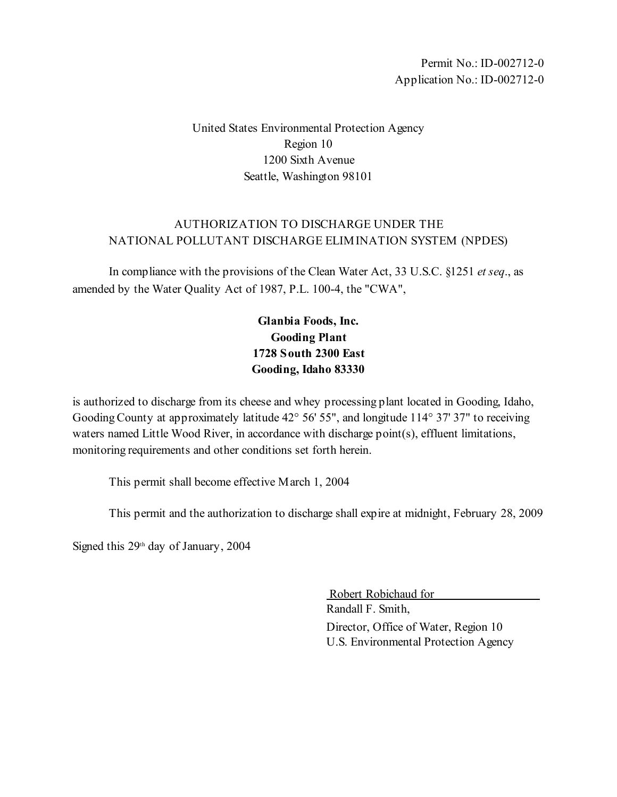Permit No.: ID-002712-0 Application No.: ID-002712-0

United States Environmental Protection Agency Region 10 1200 Sixth Avenue Seattle, Washington 98101

## AUTHORIZATION TO DISCHARGE UNDER THE NATIONAL POLLUTANT DISCHARGE ELIMINATION SYSTEM (NPDES)

In compliance with the provisions of the Clean Water Act, 33 U.S.C. §1251 *et seq*., as amended by the Water Quality Act of 1987, P.L. 100-4, the "CWA",

# **Glanbia Foods, Inc. Gooding Plant 1728 South 2300 East Gooding, Idaho 83330**

is authorized to discharge from its cheese and whey processing plant located in Gooding, Idaho, Gooding County at approximately latitude 42° 56' 55", and longitude 114° 37' 37" to receiving waters named Little Wood River, in accordance with discharge point(s), effluent limitations, monitoring requirements and other conditions set forth herein.

This permit shall become effective March 1, 2004

This permit and the authorization to discharge shall expire at midnight, February 28, 2009

Signed this  $29<sup>th</sup>$  day of January, 2004

 Robert Robichaud for Randall F. Smith, Director, Office of Water, Region 10 U.S. Environmental Protection Agency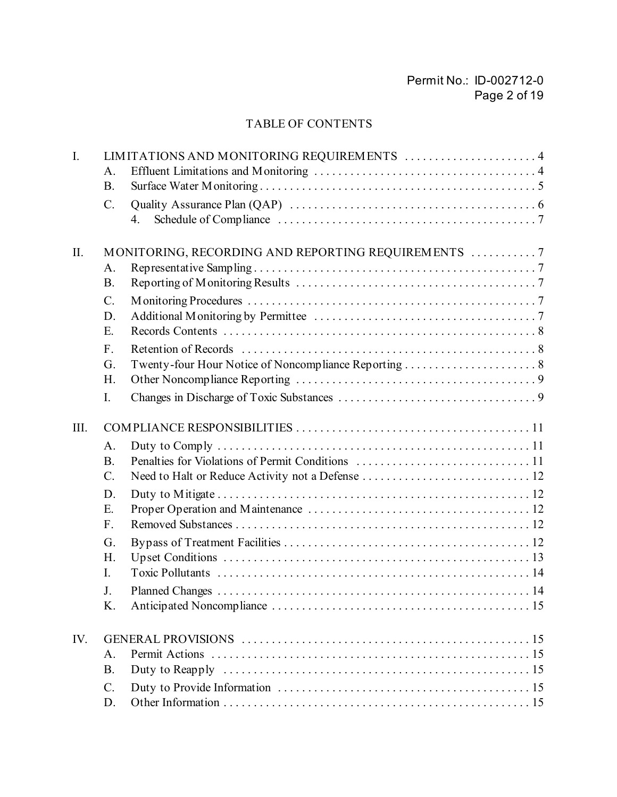# Permit No.: ID-002712-0 Page 2 of 19

# TABLE OF CONTENTS

| $\mathbf{I}$ . |                  | LIMITATIONS AND MONITORING REQUIREMENTS  4         |
|----------------|------------------|----------------------------------------------------|
|                | A.               |                                                    |
|                | <b>B.</b>        |                                                    |
|                | $\mathcal{C}$ .  |                                                    |
|                |                  | 4.                                                 |
|                |                  |                                                    |
| II.            |                  | MONITORING, RECORDING AND REPORTING REQUIREMENTS 7 |
|                | A.               |                                                    |
|                | <b>B.</b>        |                                                    |
|                | $\mathcal{C}$ .  |                                                    |
|                | D.               |                                                    |
|                | Ε.               |                                                    |
|                | $F_{\cdot}$      |                                                    |
|                | G.               |                                                    |
|                | H.               |                                                    |
|                | $I_{\cdot}$      |                                                    |
| III.           |                  |                                                    |
|                | A.               |                                                    |
|                | <b>B.</b>        |                                                    |
|                | $\mathcal{C}$ .  |                                                    |
|                | D.               |                                                    |
|                | Ε.               |                                                    |
|                | F.               |                                                    |
|                | G.               |                                                    |
|                | H.               |                                                    |
|                | $\overline{I}$ . |                                                    |
|                | J.               |                                                    |
|                | Κ.               |                                                    |
| IV.            |                  |                                                    |
|                | $A_{.}$          | Permit Actions                                     |
|                | <b>B.</b>        |                                                    |
|                | $C$ .            |                                                    |
|                | D.               |                                                    |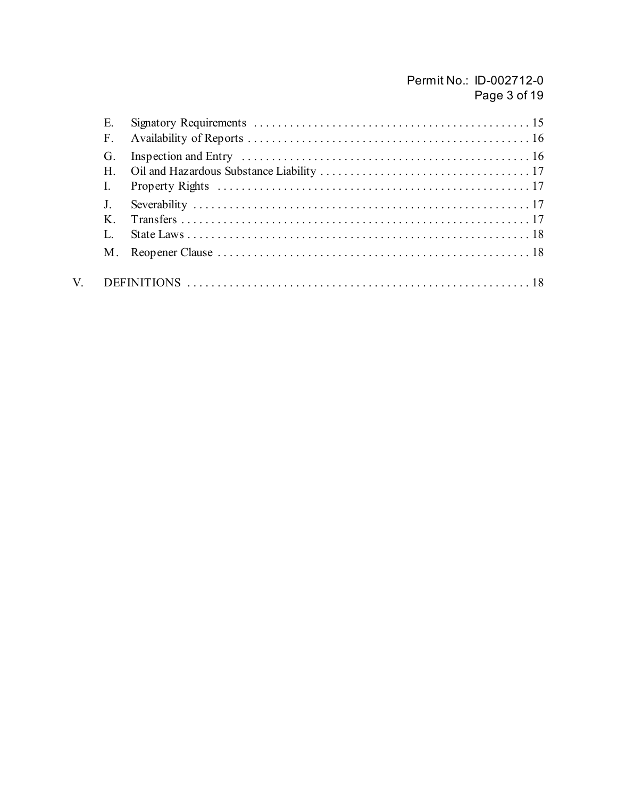# Permit No.: ID-002712-0 Page 3 of 19

| E.          |  |
|-------------|--|
| F.          |  |
| G.          |  |
| $H_{\cdot}$ |  |
|             |  |
|             |  |
| K           |  |
|             |  |
| M.          |  |
|             |  |

 $V_{\cdot}$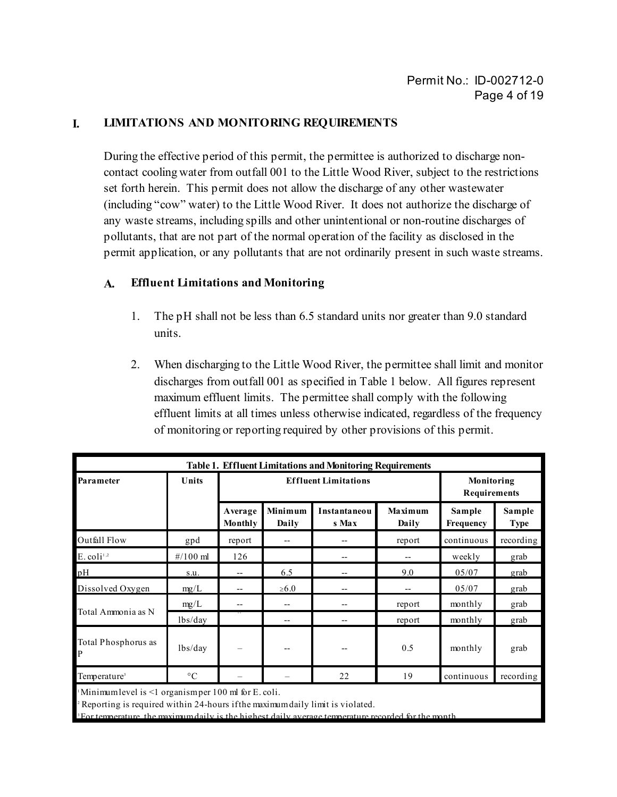#### **I. LIMITATIONS AND MONITORING REQUIREMENTS**

During the effective period of this permit, the permittee is authorized to discharge noncontact cooling water from outfall 001 to the Little Wood River, subject to the restrictions set forth herein. This permit does not allow the discharge of any other wastewater (including "cow" water) to the Little Wood River. It does not authorize the discharge of any waste streams, including spills and other unintentional or non-routine discharges of pollutants, that are not part of the normal operation of the facility as disclosed in the permit application, or any pollutants that are not ordinarily present in such waste streams.

#### **A. Effluent Limitations and Monitoring**

- 1. The pH shall not be less than 6.5 standard units nor greater than 9.0 standard units.
- 2. When discharging to the Little Wood River, the permittee shall limit and monitor discharges from outfall 001 as specified in Table 1 below. All figures represent maximum effluent limits. The permittee shall comply with the following effluent limits at all times unless otherwise indicated, regardless of the frequency of monitoring or reporting required by other provisions of this permit.

| <b>Table 1. Effluent Limitations and Monitoring Requirements</b> |                     |                    |                             |                            |                  |                     |                       |  |
|------------------------------------------------------------------|---------------------|--------------------|-----------------------------|----------------------------|------------------|---------------------|-----------------------|--|
| Parameter                                                        | Units               |                    | <b>Effluent Limitations</b> | Monitoring<br>Requirements |                  |                     |                       |  |
|                                                                  |                     | Average<br>Monthly | Minimum<br>Daily            | Instantaneou<br>s Max      | Maximum<br>Daily | Sample<br>Frequency | Sample<br><b>Type</b> |  |
| Outfall Flow                                                     | gpd                 | report             |                             |                            | report           | continuous          | recording             |  |
| $E.$ coli <sup>1,2</sup>                                         | $\frac{\#}{100}$ ml | 126                |                             | --                         |                  | weekly              | grab                  |  |
| pН                                                               | S.U.                | $-$                | 6.5                         | --                         | 9.0              | 05/07               | grab                  |  |
| Dissolved Oxygen                                                 | mg/L                | $-$                | $\geq 6.0$                  |                            |                  | 05/07               | grab                  |  |
|                                                                  | mg/L                | --                 | --                          |                            | report           | monthly             | grab                  |  |
| Total Ammonia as N                                               | lbs/day             |                    |                             |                            | report           | monthly             | grab                  |  |
| Total Phosphorus as<br>P                                         | lbs/day             | -                  |                             |                            | 0.5              | monthly             | grab                  |  |
| Temperature <sup>3</sup>                                         | $\rm ^{\circ}C$     |                    |                             | 22                         | 19               | continuous          | recording             |  |

Minimum level is  $\leq 1$  organism per 100 ml for E. coli.

2 Reporting is required within 24-hours if the maximum daily limit is violated.

For temperature, the maximum daily is the highest daily average temperature recorded for the month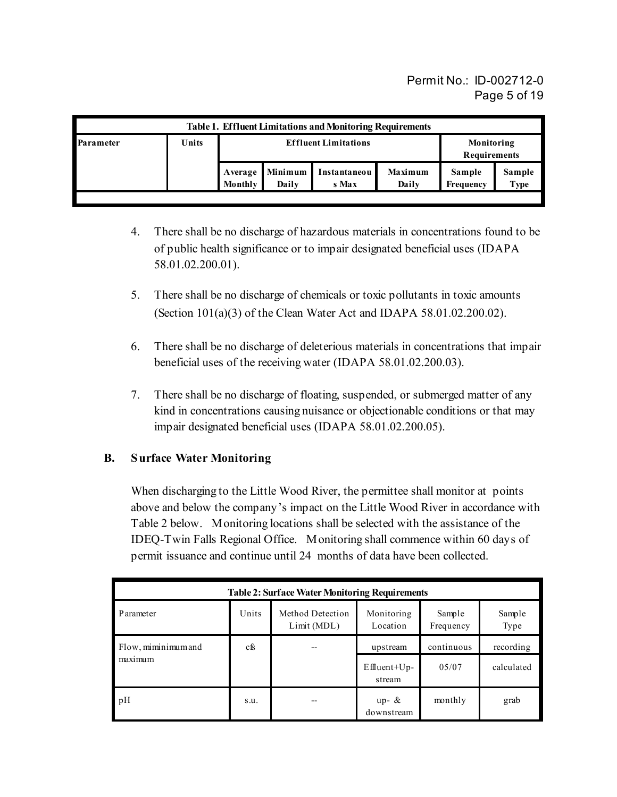Permit No.: ID-002712-0 Page 5 of 19

| <b>Table 1. Effluent Limitations and Monitoring Requirements</b> |       |                             |                  |                       |                  |                            |                |  |
|------------------------------------------------------------------|-------|-----------------------------|------------------|-----------------------|------------------|----------------------------|----------------|--|
| Parameter                                                        | Units | <b>Effluent Limitations</b> |                  |                       |                  | Monitoring<br>Requirements |                |  |
|                                                                  |       | Average<br>Monthly          | Minimum<br>Daily | Instantaneou<br>s Max | Maximum<br>Daily | Sample<br>Frequency        | Sample<br>Type |  |

- 4. There shall be no discharge of hazardous materials in concentrations found to be of public health significance or to impair designated beneficial uses (IDAPA 58.01.02.200.01).
- 5. There shall be no discharge of chemicals or toxic pollutants in toxic amounts (Section 101(a)(3) of the Clean Water Act and IDAPA 58.01.02.200.02).
- 6. There shall be no discharge of deleterious materials in concentrations that impair beneficial uses of the receiving water (IDAPA 58.01.02.200.03).
- 7. There shall be no discharge of floating, suspended, or submerged matter of any kind in concentrations causing nuisance or objectionable conditions or that may impair designated beneficial uses (IDAPA 58.01.02.200.05).

## **B. Surface Water Monitoring**

When discharging to the Little Wood River, the permittee shall monitor at points above and below the company's impact on the Little Wood River in accordance with Table 2 below. Monitoring locations shall be selected with the assistance of the IDEQ-Twin Falls Regional Office. Monitoring shall commence within 60 days of permit issuance and continue until 24 months of data have been collected.

| <b>Table 2: Surface Water Monitoring Requirements</b> |       |                                |                         |                     |                |  |  |  |
|-------------------------------------------------------|-------|--------------------------------|-------------------------|---------------------|----------------|--|--|--|
| Parameter                                             | Units | Method Detection<br>Limit(MDL) | Monitoring<br>Location  | Sample<br>Frequency | Sample<br>Type |  |  |  |
| Flow, miminimum and                                   | cfs   |                                | upstream                | continuous          | recording      |  |  |  |
| maximum                                               |       |                                | $Effuent+Up-$<br>stream | 0.5/07              | calculated     |  |  |  |
| pH                                                    | S.U.  |                                | up- $\&$<br>downstream  | monthly             | grab           |  |  |  |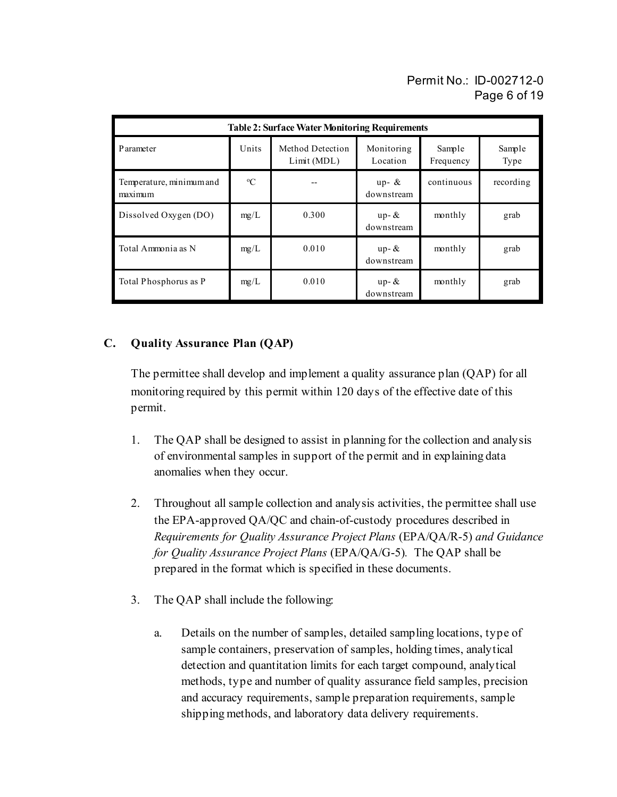# Permit No.: ID-002712-0 Page 6 of 19

| <b>Table 2: Surface Water Monitoring Requirements</b> |             |                                 |                        |                     |                |  |  |  |
|-------------------------------------------------------|-------------|---------------------------------|------------------------|---------------------|----------------|--|--|--|
| Parameter                                             | Units       | Method Detection<br>Limit (MDL) | Monitoring<br>Location | Sample<br>Frequency | Sample<br>Type |  |  |  |
| Temperature, minimum and<br>maximum                   | $\rm ^{o}C$ |                                 | up- $\&$<br>downstream | continuous          | recording      |  |  |  |
| Dissolved Oxygen (DO)                                 | mg/L        | 0.300                           | $up-$ &<br>downstream  | monthly             | grab           |  |  |  |
| Total Ammonia as N                                    | mg/L        | 0.010                           | $up-$ &<br>downstream  | monthly             | grab           |  |  |  |
| Total Phosphorus as P                                 | mg/L        | 0.010                           | $up-$ &<br>downstream  | monthly             | grab           |  |  |  |

## **C. Quality Assurance Plan (QAP)**

The permittee shall develop and implement a quality assurance plan (QAP) for all monitoring required by this permit within 120 days of the effective date of this permit.

- 1. The QAP shall be designed to assist in planning for the collection and analysis of environmental samples in support of the permit and in explaining data anomalies when they occur.
- 2. Throughout all sample collection and analysis activities, the permittee shall use the EPA-approved QA/QC and chain-of-custody procedures described in *Requirements for Quality Assurance Project Plans* (EPA/QA/R-5) *and Guidance for Quality Assurance Project Plans* (EPA/QA/G-5)*.* The QAP shall be prepared in the format which is specified in these documents.
- 3. The QAP shall include the following:
	- a. Details on the number of samples, detailed sampling locations, type of sample containers, preservation of samples, holding times, analytical detection and quantitation limits for each target compound, analytical methods, type and number of quality assurance field samples, precision and accuracy requirements, sample preparation requirements, sample shipping methods, and laboratory data delivery requirements.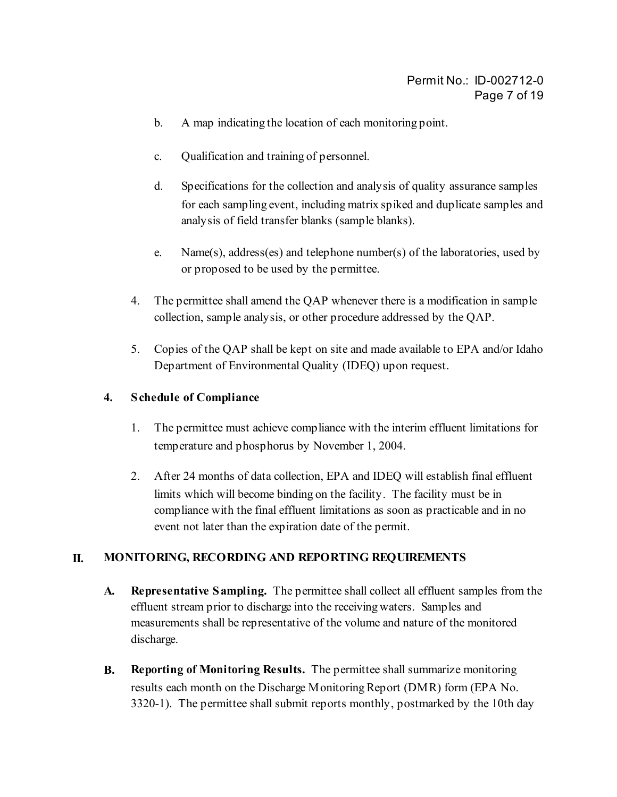- b. A map indicating the location of each monitoring point.
- c. Qualification and training of personnel.
- d. Specifications for the collection and analysis of quality assurance samples for each sampling event, including matrix spiked and duplicate samples and analysis of field transfer blanks (sample blanks).
- e. Name(s), address(es) and telephone number(s) of the laboratories, used by or proposed to be used by the permittee.
- 4. The permittee shall amend the QAP whenever there is a modification in sample collection, sample analysis, or other procedure addressed by the QAP.
- 5. Copies of the QAP shall be kept on site and made available to EPA and/or Idaho Department of Environmental Quality (IDEQ) upon request.

#### **4. Schedule of Compliance**

- 1. The permittee must achieve compliance with the interim effluent limitations for temperature and phosphorus by November 1, 2004.
- 2. After 24 months of data collection, EPA and IDEQ will establish final effluent limits which will become binding on the facility. The facility must be in compliance with the final effluent limitations as soon as practicable and in no event not later than the expiration date of the permit.

#### **II. MONITORING, RECORDING AND REPORTING REQUIREMENTS**

- **A. Representative Sampling.** The permittee shall collect all effluent samples from the effluent stream prior to discharge into the receiving waters. Samples and measurements shall be representative of the volume and nature of the monitored discharge.
- **B. Reporting of Monitoring Results.** The permittee shall summarize monitoring results each month on the Discharge Monitoring Report (DMR) form (EPA No. 3320-1). The permittee shall submit reports monthly, postmarked by the 10th day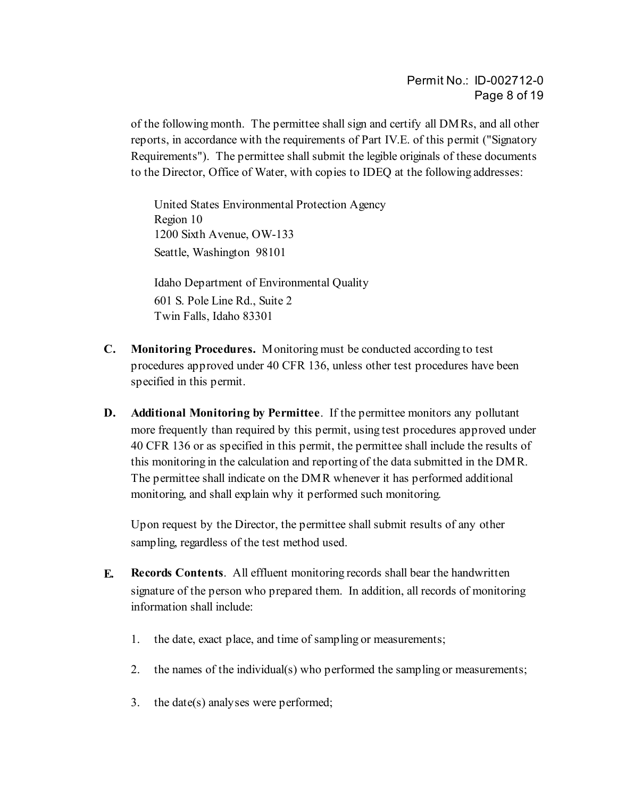of the following month. The permittee shall sign and certify all DMRs, and all other reports, in accordance with the requirements of Part IV.E. of this permit ("Signatory Requirements"). The permittee shall submit the legible originals of these documents to the Director, Office of Water, with copies to IDEQ at the following addresses:

United States Environmental Protection Agency Region 10 1200 Sixth Avenue, OW-133 Seattle, Washington 98101

Idaho Department of Environmental Quality 601 S. Pole Line Rd., Suite 2 Twin Falls, Idaho 83301

- **C. Monitoring Procedures.** Monitoring must be conducted according to test procedures approved under 40 CFR 136, unless other test procedures have been specified in this permit.
- **D. Additional Monitoring by Permittee**. If the permittee monitors any pollutant more frequently than required by this permit, using test procedures approved under 40 CFR 136 or as specified in this permit, the permittee shall include the results of this monitoring in the calculation and reporting of the data submitted in the DMR. The permittee shall indicate on the DMR whenever it has performed additional monitoring, and shall explain why it performed such monitoring.

Upon request by the Director, the permittee shall submit results of any other sampling, regardless of the test method used.

- **E. Records Contents**. All effluent monitoring records shall bear the handwritten signature of the person who prepared them. In addition, all records of monitoring information shall include:
	- 1. the date, exact place, and time of sampling or measurements;
	- 2. the names of the individual(s) who performed the sampling or measurements;
	- 3. the date(s) analyses were performed;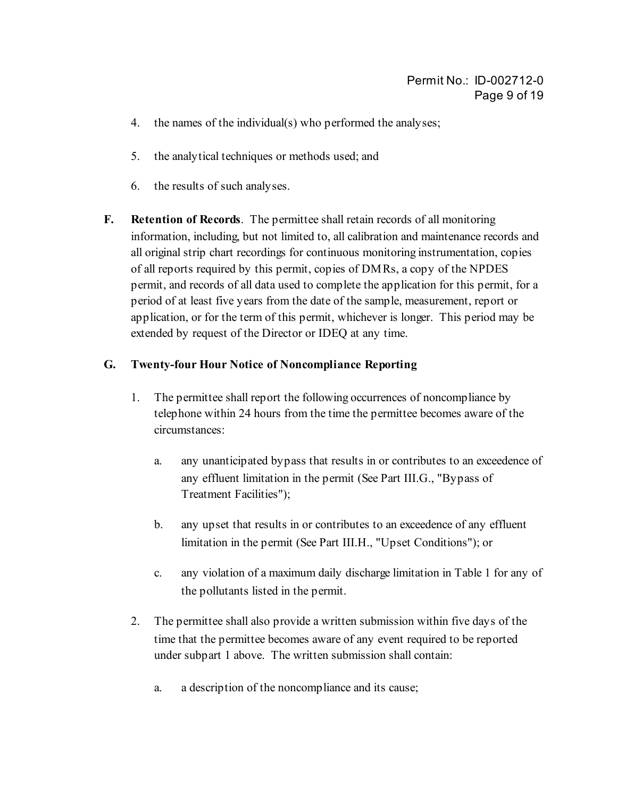- 4. the names of the individual(s) who performed the analyses;
- 5. the analytical techniques or methods used; and
- 6. the results of such analyses.
- **F. Retention of Records**. The permittee shall retain records of all monitoring information, including, but not limited to, all calibration and maintenance records and all original strip chart recordings for continuous monitoring instrumentation, copies of all reports required by this permit, copies of DMRs, a copy of the NPDES permit, and records of all data used to complete the application for this permit, for a period of at least five years from the date of the sample, measurement, report or application, or for the term of this permit, whichever is longer. This period may be extended by request of the Director or IDEQ at any time.

### **G. Twenty-four Hour Notice of Noncompliance Reporting**

- 1. The permittee shall report the following occurrences of noncompliance by telephone within 24 hours from the time the permittee becomes aware of the circumstances:
	- a. any unanticipated bypass that results in or contributes to an exceedence of any effluent limitation in the permit (See Part III.G., "Bypass of Treatment Facilities");
	- b. any upset that results in or contributes to an exceedence of any effluent limitation in the permit (See Part III.H., "Upset Conditions"); or
	- c. any violation of a maximum daily discharge limitation in Table 1 for any of the pollutants listed in the permit.
- 2. The permittee shall also provide a written submission within five days of the time that the permittee becomes aware of any event required to be reported under subpart 1 above. The written submission shall contain:
	- a. a description of the noncompliance and its cause;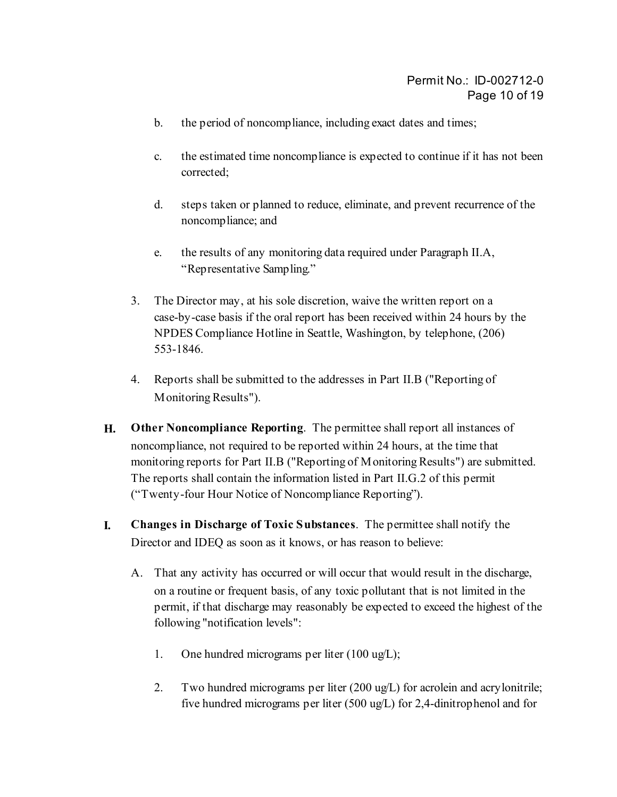- b. the period of noncompliance, including exact dates and times;
- c. the estimated time noncompliance is expected to continue if it has not been corrected;
- d. steps taken or planned to reduce, eliminate, and prevent recurrence of the noncompliance; and
- e. the results of any monitoring data required under Paragraph II.A, "Representative Sampling."
- 3. The Director may, at his sole discretion, waive the written report on a case-by-case basis if the oral report has been received within 24 hours by the NPDES Compliance Hotline in Seattle, Washington, by telephone, (206) 553-1846.
- 4. Reports shall be submitted to the addresses in Part II.B ("Reporting of Monitoring Results").
- **H. Other Noncompliance Reporting**. The permittee shall report all instances of noncompliance, not required to be reported within 24 hours, at the time that monitoring reports for Part II.B ("Reporting of Monitoring Results") are submitted. The reports shall contain the information listed in Part II.G.2 of this permit ("Twenty-four Hour Notice of Noncompliance Reporting").
- **I. Changes in Discharge of Toxic Substances**. The permittee shall notify the Director and IDEQ as soon as it knows, or has reason to believe:
	- A. That any activity has occurred or will occur that would result in the discharge, on a routine or frequent basis, of any toxic pollutant that is not limited in the permit, if that discharge may reasonably be expected to exceed the highest of the following "notification levels":
		- 1. One hundred micrograms per liter (100 ug/L);
		- 2. Two hundred micrograms per liter (200 ug/L) for acrolein and acrylonitrile; five hundred micrograms per liter (500 ug/L) for 2,4-dinitrophenol and for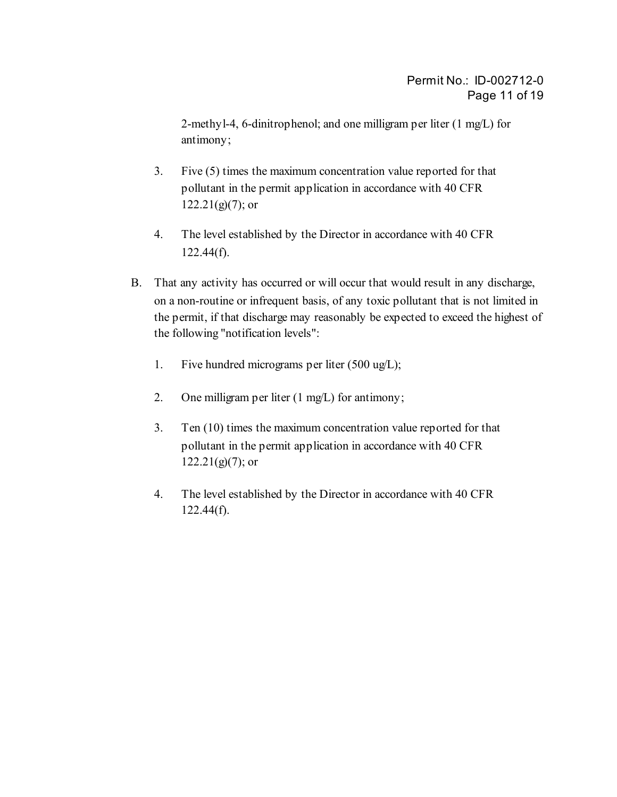2-methyl-4, 6-dinitrophenol; and one milligram per liter (1 mg/L) for antimony;

- 3. Five (5) times the maximum concentration value reported for that pollutant in the permit application in accordance with 40 CFR  $122.21(g)(7)$ ; or
- 4. The level established by the Director in accordance with 40 CFR  $122.44(f)$ .
- B. That any activity has occurred or will occur that would result in any discharge, on a non-routine or infrequent basis, of any toxic pollutant that is not limited in the permit, if that discharge may reasonably be expected to exceed the highest of the following "notification levels":
	- 1. Five hundred micrograms per liter (500 ug/L);
	- 2. One milligram per liter (1 mg/L) for antimony;
	- 3. Ten (10) times the maximum concentration value reported for that pollutant in the permit application in accordance with 40 CFR  $122.21(g)(7)$ ; or
	- 4. The level established by the Director in accordance with 40 CFR  $122.44(f)$ .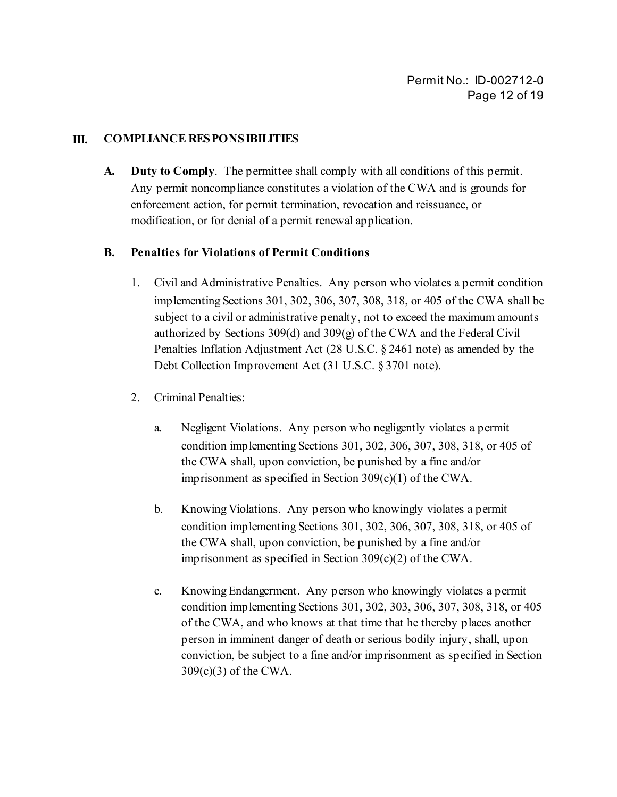#### **III. COMPLIANCE RESPONSIBILITIES**

**A. Duty to Comply**. The permittee shall comply with all conditions of this permit. Any permit noncompliance constitutes a violation of the CWA and is grounds for enforcement action, for permit termination, revocation and reissuance, or modification, or for denial of a permit renewal application.

#### **B. Penalties for Violations of Permit Conditions**

- 1. Civil and Administrative Penalties. Any person who violates a permit condition implementing Sections 301, 302, 306, 307, 308, 318, or 405 of the CWA shall be subject to a civil or administrative penalty, not to exceed the maximum amounts authorized by Sections 309(d) and 309(g) of the CWA and the Federal Civil Penalties Inflation Adjustment Act (28 U.S.C. § 2461 note) as amended by the Debt Collection Improvement Act (31 U.S.C. § 3701 note).
- 2. Criminal Penalties:
	- a. Negligent Violations. Any person who negligently violates a permit condition implementing Sections 301, 302, 306, 307, 308, 318, or 405 of the CWA shall, upon conviction, be punished by a fine and/or imprisonment as specified in Section 309(c)(1) of the CWA.
	- b. Knowing Violations. Any person who knowingly violates a permit condition implementing Sections 301, 302, 306, 307, 308, 318, or 405 of the CWA shall, upon conviction, be punished by a fine and/or imprisonment as specified in Section 309(c)(2) of the CWA.
	- c. Knowing Endangerment. Any person who knowingly violates a permit condition implementing Sections 301, 302, 303, 306, 307, 308, 318, or 405 of the CWA, and who knows at that time that he thereby places another person in imminent danger of death or serious bodily injury, shall, upon conviction, be subject to a fine and/or imprisonment as specified in Section 309(c)(3) of the CWA.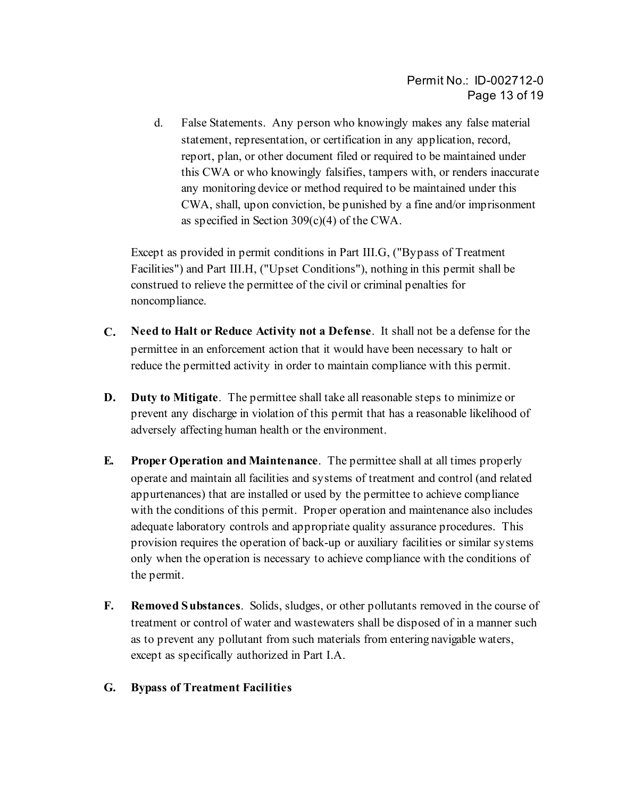d. False Statements. Any person who knowingly makes any false material statement, representation, or certification in any application, record, report, plan, or other document filed or required to be maintained under this CWA or who knowingly falsifies, tampers with, or renders inaccurate any monitoring device or method required to be maintained under this CWA, shall, upon conviction, be punished by a fine and/or imprisonment as specified in Section 309(c)(4) of the CWA.

Except as provided in permit conditions in Part III.G, ("Bypass of Treatment Facilities") and Part III.H, ("Upset Conditions"), nothing in this permit shall be construed to relieve the permittee of the civil or criminal penalties for noncompliance.

- **C. Need to Halt or Reduce Activity not a Defense**. It shall not be a defense for the permittee in an enforcement action that it would have been necessary to halt or reduce the permitted activity in order to maintain compliance with this permit.
- **D. Duty to Mitigate**. The permittee shall take all reasonable steps to minimize or prevent any discharge in violation of this permit that has a reasonable likelihood of adversely affecting human health or the environment.
- **E. Proper Operation and Maintenance**. The permittee shall at all times properly operate and maintain all facilities and systems of treatment and control (and related appurtenances) that are installed or used by the permittee to achieve compliance with the conditions of this permit. Proper operation and maintenance also includes adequate laboratory controls and appropriate quality assurance procedures. This provision requires the operation of back-up or auxiliary facilities or similar systems only when the operation is necessary to achieve compliance with the conditions of the permit.
- **F. Removed Substances**. Solids, sludges, or other pollutants removed in the course of treatment or control of water and wastewaters shall be disposed of in a manner such as to prevent any pollutant from such materials from entering navigable waters, except as specifically authorized in Part I.A.

#### **G. Bypass of Treatment Facilities**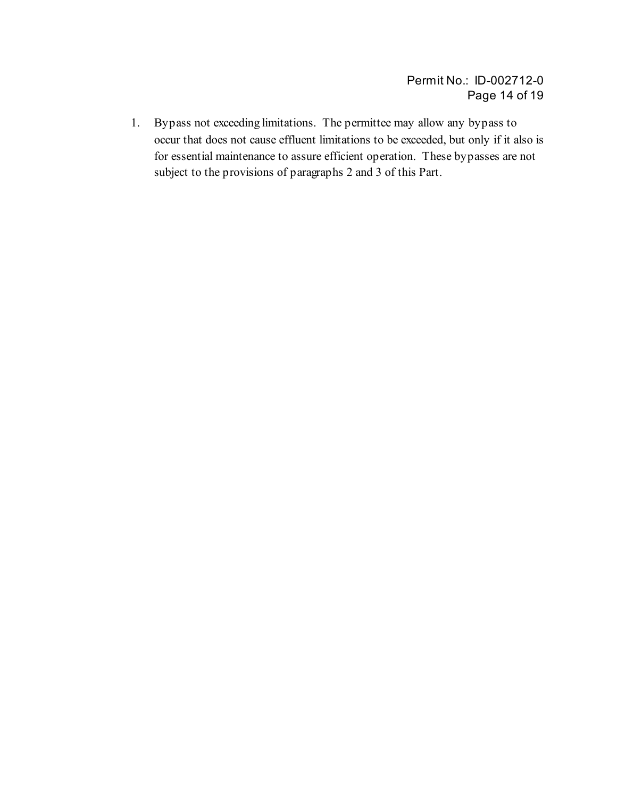1. Bypass not exceeding limitations. The permittee may allow any bypass to occur that does not cause effluent limitations to be exceeded, but only if it also is for essential maintenance to assure efficient operation. These bypasses are not subject to the provisions of paragraphs 2 and 3 of this Part.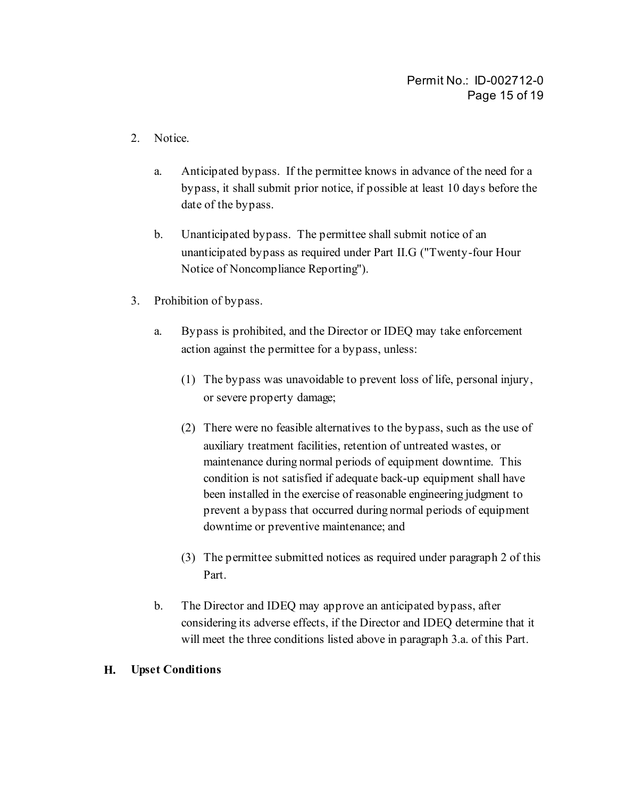- 2. Notice.
	- a. Anticipated bypass. If the permittee knows in advance of the need for a bypass, it shall submit prior notice, if possible at least 10 days before the date of the bypass.
	- b. Unanticipated bypass. The permittee shall submit notice of an unanticipated bypass as required under Part II.G ("Twenty-four Hour Notice of Noncompliance Reporting").
- 3. Prohibition of bypass.
	- a. Bypass is prohibited, and the Director or IDEQ may take enforcement action against the permittee for a bypass, unless:
		- (1) The bypass was unavoidable to prevent loss of life, personal injury, or severe property damage;
		- (2) There were no feasible alternatives to the bypass, such as the use of auxiliary treatment facilities, retention of untreated wastes, or maintenance during normal periods of equipment downtime. This condition is not satisfied if adequate back-up equipment shall have been installed in the exercise of reasonable engineering judgment to prevent a bypass that occurred during normal periods of equipment downtime or preventive maintenance; and
		- (3) The permittee submitted notices as required under paragraph 2 of this Part.
	- b. The Director and IDEQ may approve an anticipated bypass, after considering its adverse effects, if the Director and IDEQ determine that it will meet the three conditions listed above in paragraph 3.a. of this Part.

#### **H. Upset Conditions**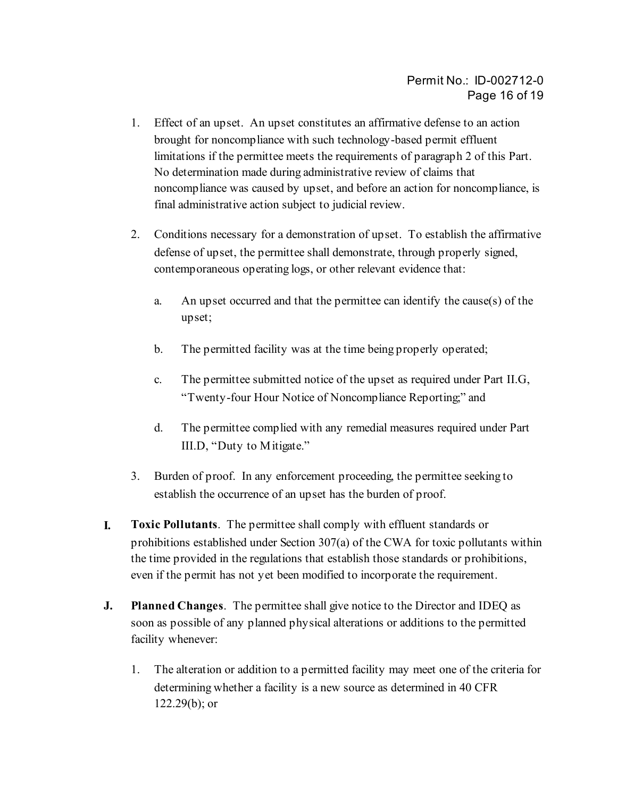- 1. Effect of an upset. An upset constitutes an affirmative defense to an action brought for noncompliance with such technology-based permit effluent limitations if the permittee meets the requirements of paragraph 2 of this Part. No determination made during administrative review of claims that noncompliance was caused by upset, and before an action for noncompliance, is final administrative action subject to judicial review.
- 2. Conditions necessary for a demonstration of upset. To establish the affirmative defense of upset, the permittee shall demonstrate, through properly signed, contemporaneous operating logs, or other relevant evidence that:
	- a. An upset occurred and that the permittee can identify the cause(s) of the upset;
	- b. The permitted facility was at the time being properly operated;
	- c. The permittee submitted notice of the upset as required under Part II.G, "Twenty-four Hour Notice of Noncompliance Reporting;" and
	- d. The permittee complied with any remedial measures required under Part III.D, "Duty to Mitigate."
- 3. Burden of proof. In any enforcement proceeding, the permittee seeking to establish the occurrence of an upset has the burden of proof.
- **I. Toxic Pollutants**. The permittee shall comply with effluent standards or prohibitions established under Section 307(a) of the CWA for toxic pollutants within the time provided in the regulations that establish those standards or prohibitions, even if the permit has not yet been modified to incorporate the requirement.
- **J. Planned Changes**. The permittee shall give notice to the Director and IDEQ as soon as possible of any planned physical alterations or additions to the permitted facility whenever:
	- 1. The alteration or addition to a permitted facility may meet one of the criteria for determining whether a facility is a new source as determined in 40 CFR  $122.29(b)$ ; or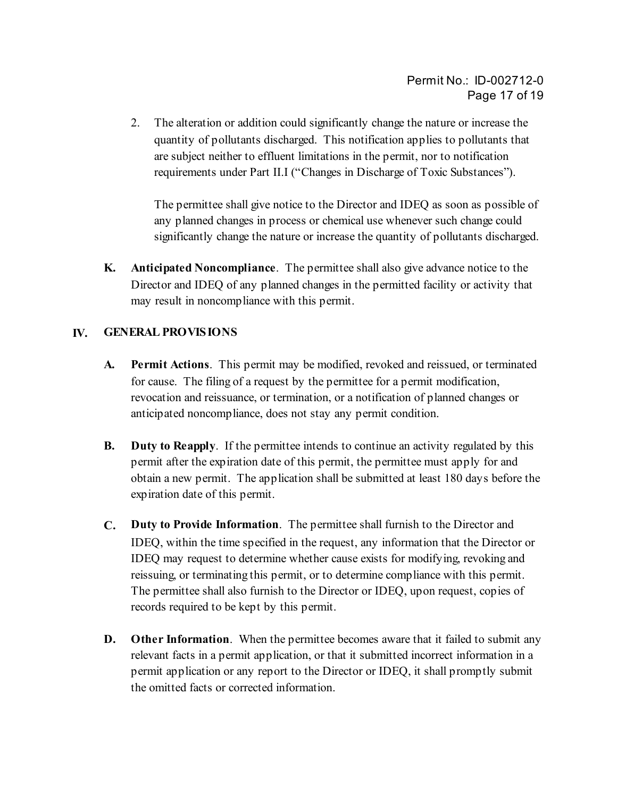2. The alteration or addition could significantly change the nature or increase the quantity of pollutants discharged. This notification applies to pollutants that are subject neither to effluent limitations in the permit, nor to notification requirements under Part II.I ("Changes in Discharge of Toxic Substances").

The permittee shall give notice to the Director and IDEQ as soon as possible of any planned changes in process or chemical use whenever such change could significantly change the nature or increase the quantity of pollutants discharged.

**K. Anticipated Noncompliance**. The permittee shall also give advance notice to the Director and IDEQ of any planned changes in the permitted facility or activity that may result in noncompliance with this permit.

### **IV. GENERAL PROVISIONS**

- **A. Permit Actions**. This permit may be modified, revoked and reissued, or terminated for cause. The filing of a request by the permittee for a permit modification, revocation and reissuance, or termination, or a notification of planned changes or anticipated noncompliance, does not stay any permit condition.
- **B.** Duty to Reapply. If the permittee intends to continue an activity regulated by this permit after the expiration date of this permit, the permittee must apply for and obtain a new permit. The application shall be submitted at least 180 days before the expiration date of this permit.
- **C. Duty to Provide Information**. The permittee shall furnish to the Director and IDEQ, within the time specified in the request, any information that the Director or IDEQ may request to determine whether cause exists for modifying, revoking and reissuing, or terminating this permit, or to determine compliance with this permit. The permittee shall also furnish to the Director or IDEQ, upon request, copies of records required to be kept by this permit.
- **D.** Other Information. When the permittee becomes aware that it failed to submit any relevant facts in a permit application, or that it submitted incorrect information in a permit application or any report to the Director or IDEQ, it shall promptly submit the omitted facts or corrected information.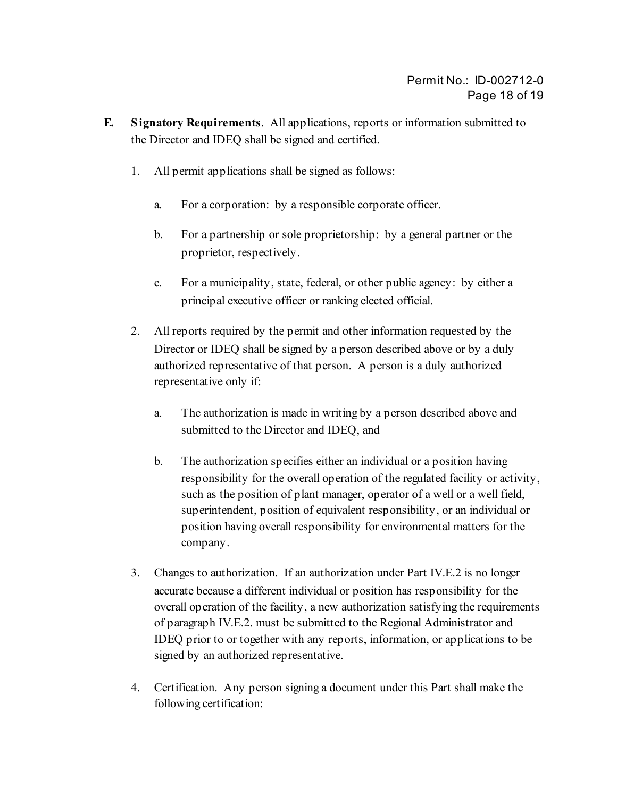- **E. Signatory Requirements**. All applications, reports or information submitted to the Director and IDEQ shall be signed and certified.
	- 1. All permit applications shall be signed as follows:
		- a. For a corporation: by a responsible corporate officer.
		- b. For a partnership or sole proprietorship: by a general partner or the proprietor, respectively.
		- c. For a municipality, state, federal, or other public agency: by either a principal executive officer or ranking elected official.
	- 2. All reports required by the permit and other information requested by the Director or IDEQ shall be signed by a person described above or by a duly authorized representative of that person. A person is a duly authorized representative only if:
		- a. The authorization is made in writing by a person described above and submitted to the Director and IDEQ, and
		- b. The authorization specifies either an individual or a position having responsibility for the overall operation of the regulated facility or activity, such as the position of plant manager, operator of a well or a well field, superintendent, position of equivalent responsibility, or an individual or position having overall responsibility for environmental matters for the company.
	- 3. Changes to authorization. If an authorization under Part IV.E.2 is no longer accurate because a different individual or position has responsibility for the overall operation of the facility, a new authorization satisfying the requirements of paragraph IV.E.2. must be submitted to the Regional Administrator and IDEQ prior to or together with any reports, information, or applications to be signed by an authorized representative.
	- 4. Certification. Any person signing a document under this Part shall make the following certification: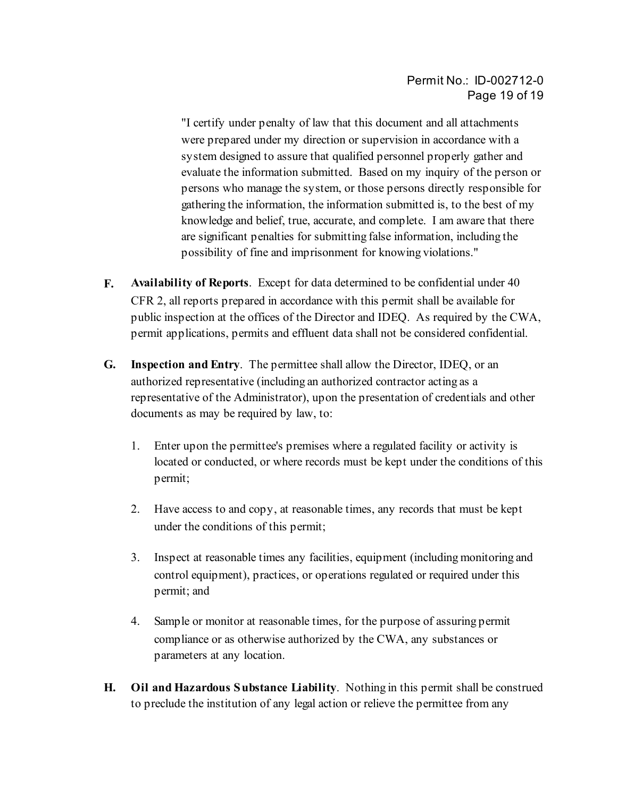"I certify under penalty of law that this document and all attachments were prepared under my direction or supervision in accordance with a system designed to assure that qualified personnel properly gather and evaluate the information submitted. Based on my inquiry of the person or persons who manage the system, or those persons directly responsible for gathering the information, the information submitted is, to the best of my knowledge and belief, true, accurate, and complete. I am aware that there are significant penalties for submitting false information, including the possibility of fine and imprisonment for knowing violations."

- **F. Availability of Reports**. Except for data determined to be confidential under 40 CFR 2, all reports prepared in accordance with this permit shall be available for public inspection at the offices of the Director and IDEQ. As required by the CWA, permit applications, permits and effluent data shall not be considered confidential.
- **G. Inspection and Entry**. The permittee shall allow the Director, IDEQ, or an authorized representative (including an authorized contractor acting as a representative of the Administrator), upon the presentation of credentials and other documents as may be required by law, to:
	- 1. Enter upon the permittee's premises where a regulated facility or activity is located or conducted, or where records must be kept under the conditions of this permit;
	- 2. Have access to and copy, at reasonable times, any records that must be kept under the conditions of this permit;
	- 3. Inspect at reasonable times any facilities, equipment (including monitoring and control equipment), practices, or operations regulated or required under this permit; and
	- 4. Sample or monitor at reasonable times, for the purpose of assuring permit compliance or as otherwise authorized by the CWA, any substances or parameters at any location.
- **H. Oil and Hazardous Substance Liability**. Nothing in this permit shall be construed to preclude the institution of any legal action or relieve the permittee from any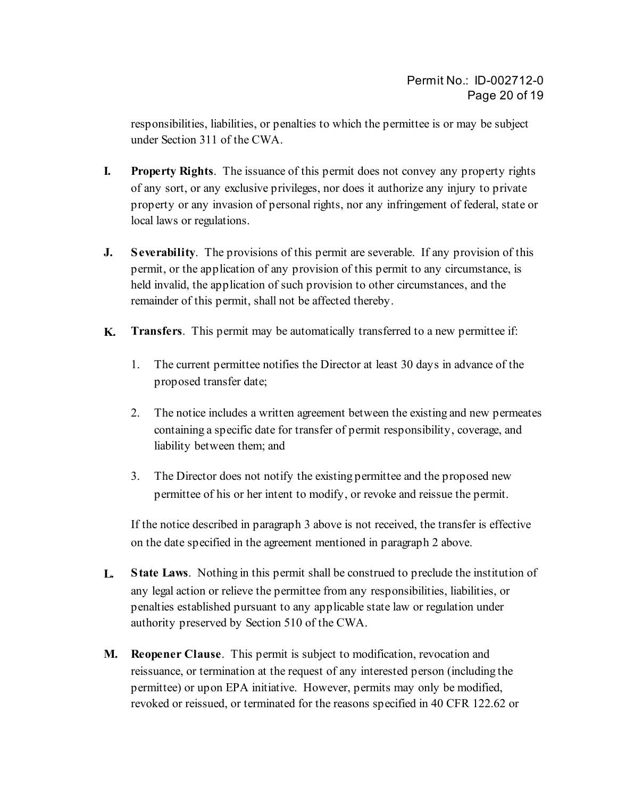responsibilities, liabilities, or penalties to which the permittee is or may be subject under Section 311 of the CWA.

- **I. Property Rights**. The issuance of this permit does not convey any property rights of any sort, or any exclusive privileges, nor does it authorize any injury to private property or any invasion of personal rights, nor any infringement of federal, state or local laws or regulations.
- **J. Severability**. The provisions of this permit are severable. If any provision of this permit, or the application of any provision of this permit to any circumstance, is held invalid, the application of such provision to other circumstances, and the remainder of this permit, shall not be affected thereby.
- **K. Transfers**. This permit may be automatically transferred to a new permittee if:
	- 1. The current permittee notifies the Director at least 30 days in advance of the proposed transfer date;
	- 2. The notice includes a written agreement between the existing and new permeates containing a specific date for transfer of permit responsibility, coverage, and liability between them; and
	- 3. The Director does not notify the existing permittee and the proposed new permittee of his or her intent to modify, or revoke and reissue the permit.

If the notice described in paragraph 3 above is not received, the transfer is effective on the date specified in the agreement mentioned in paragraph 2 above.

- **L. State Laws**. Nothing in this permit shall be construed to preclude the institution of any legal action or relieve the permittee from any responsibilities, liabilities, or penalties established pursuant to any applicable state law or regulation under authority preserved by Section 510 of the CWA.
- **M. Reopener Clause**. This permit is subject to modification, revocation and reissuance, or termination at the request of any interested person (including the permittee) or upon EPA initiative. However, permits may only be modified, revoked or reissued, or terminated for the reasons specified in 40 CFR 122.62 or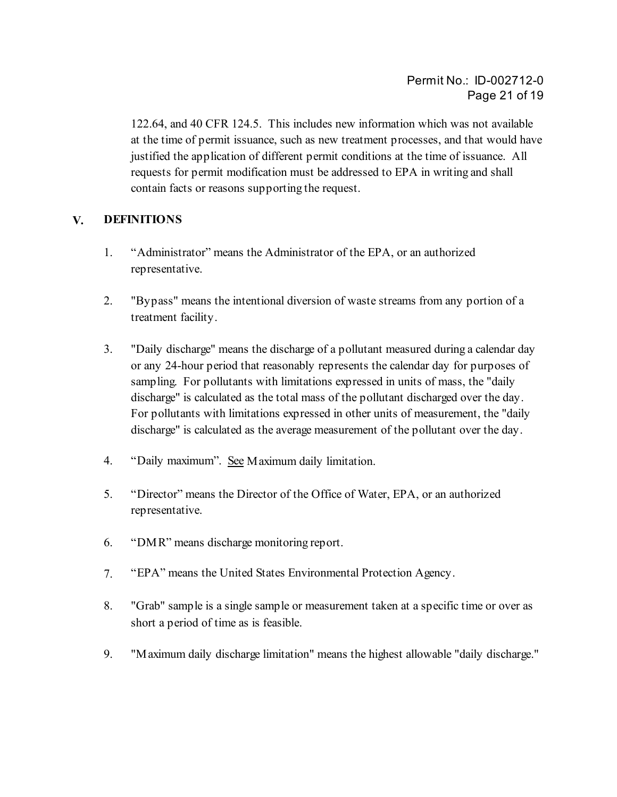122.64, and 40 CFR 124.5. This includes new information which was not available at the time of permit issuance, such as new treatment processes, and that would have justified the application of different permit conditions at the time of issuance. All requests for permit modification must be addressed to EPA in writing and shall contain facts or reasons supporting the request.

#### **V. DEFINITIONS**

- 1. "Administrator" means the Administrator of the EPA, or an authorized representative.
- 2. "Bypass" means the intentional diversion of waste streams from any portion of a treatment facility.
- 3. "Daily discharge" means the discharge of a pollutant measured during a calendar day or any 24-hour period that reasonably represents the calendar day for purposes of sampling. For pollutants with limitations expressed in units of mass, the "daily discharge" is calculated as the total mass of the pollutant discharged over the day. For pollutants with limitations expressed in other units of measurement, the "daily discharge" is calculated as the average measurement of the pollutant over the day.
- 4. "Daily maximum". See Maximum daily limitation.
- 5. "Director" means the Director of the Office of Water, EPA, or an authorized representative.
- 6. "DMR" means discharge monitoring report.
- 7. "EPA" means the United States Environmental Protection Agency.
- 8. "Grab" sample is a single sample or measurement taken at a specific time or over as short a period of time as is feasible.
- 9. "Maximum daily discharge limitation" means the highest allowable "daily discharge."